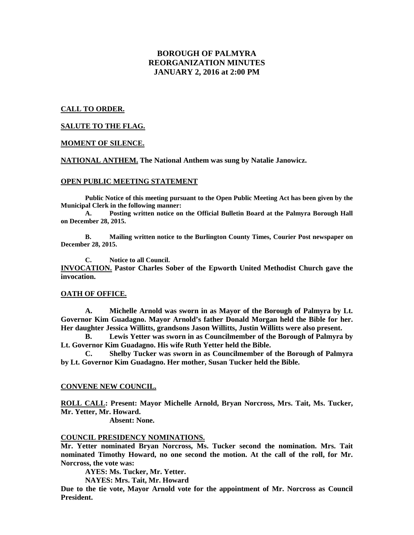# **BOROUGH OF PALMYRA REORGANIZATION MINUTES JANUARY 2, 2016 at 2:00 PM**

### **CALL TO ORDER.**

### **SALUTE TO THE FLAG.**

#### **MOMENT OF SILENCE.**

**NATIONAL ANTHEM. The National Anthem was sung by Natalie Janowicz.**

#### **OPEN PUBLIC MEETING STATEMENT**

**Public Notice of this meeting pursuant to the Open Public Meeting Act has been given by the Municipal Clerk in the following manner:** 

 **A. Posting written notice on the Official Bulletin Board at the Palmyra Borough Hall on December 28, 2015.** 

 **B. Mailing written notice to the Burlington County Times, Courier Post newspaper on December 28, 2015.** 

 **C. Notice to all Council. INVOCATION. Pastor Charles Sober of the Epworth United Methodist Church gave the invocation.** 

### **OATH OF OFFICE.**

 **A. Michelle Arnold was sworn in as Mayor of the Borough of Palmyra by Lt. Governor Kim Guadagno. Mayor Arnold's father Donald Morgan held the Bible for her. Her daughter Jessica Willitts, grandsons Jason Willitts, Justin Willitts were also present.** 

 **B. Lewis Yetter was sworn in as Councilmember of the Borough of Palmyra by Lt. Governor Kim Guadagno. His wife Ruth Yetter held the Bible.** 

 **C. Shelby Tucker was sworn in as Councilmember of the Borough of Palmyra by Lt. Governor Kim Guadagno. Her mother, Susan Tucker held the Bible.** 

### **CONVENE NEW COUNCIL.**

**ROLL CALL: Present: Mayor Michelle Arnold, Bryan Norcross, Mrs. Tait, Ms. Tucker, Mr. Yetter, Mr. Howard.** 

 **Absent: None.** 

# **COUNCIL PRESIDENCY NOMINATIONS.**

**Mr. Yetter nominated Bryan Norcross, Ms. Tucker second the nomination. Mrs. Tait nominated Timothy Howard, no one second the motion. At the call of the roll, for Mr. Norcross, the vote was:** 

 **AYES: Ms. Tucker, Mr. Yetter.** 

 **NAYES: Mrs. Tait, Mr. Howard** 

**Due to the tie vote, Mayor Arnold vote for the appointment of Mr. Norcross as Council President.**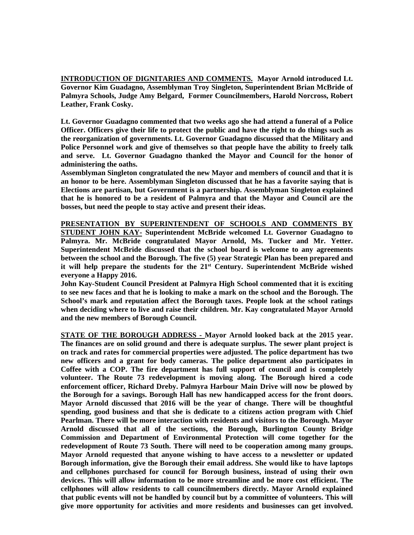**INTRODUCTION OF DIGNITARIES AND COMMENTS. Mayor Arnold introduced Lt. Governor Kim Guadagno, Assemblyman Troy Singleton, Superintendent Brian McBride of Palmyra Schools, Judge Amy Belgard, Former Councilmembers, Harold Norcross, Robert Leather, Frank Cosky.** 

**Lt. Governor Guadagno commented that two weeks ago she had attend a funeral of a Police Officer. Officers give their life to protect the public and have the right to do things such as the reorganization of governments. Lt. Governor Guadagno discussed that the Military and Police Personnel work and give of themselves so that people have the ability to freely talk and serve. Lt. Governor Guadagno thanked the Mayor and Council for the honor of administering the oaths.** 

**Assemblyman Singleton congratulated the new Mayor and members of council and that it is an honor to be here. Assemblyman Singleton discussed that he has a favorite saying that is Elections are partisan, but Government is a partnership. Assemblyman Singleton explained that he is honored to be a resident of Palmyra and that the Mayor and Council are the bosses, but need the people to stay active and present their ideas.** 

**PRESENTATION BY SUPERINTENDENT OF SCHOOLS AND COMMENTS BY STUDENT JOHN KAY- Superintendent McBride welcomed Lt. Governor Guadagno to Palmyra. Mr. McBride congratulated Mayor Arnold, Ms. Tucker and Mr. Yetter. Superintendent McBride discussed that the school board is welcome to any agreements between the school and the Borough. The five (5) year Strategic Plan has been prepared and it will help prepare the students for the 21st Century. Superintendent McBride wished everyone a Happy 2016.** 

**John Kay-Student Council President at Palmyra High School commented that it is exciting to see new faces and that he is looking to make a mark on the school and the Borough. The School's mark and reputation affect the Borough taxes. People look at the school ratings when deciding where to live and raise their children. Mr. Kay congratulated Mayor Arnold and the new members of Borough Council.** 

**STATE OF THE BOROUGH ADDRESS - Mayor Arnold looked back at the 2015 year. The finances are on solid ground and there is adequate surplus. The sewer plant project is on track and rates for commercial properties were adjusted. The police department has two new officers and a grant for body cameras. The police department also participates in Coffee with a COP. The fire department has full support of council and is completely volunteer. The Route 73 redevelopment is moving along. The Borough hired a code enforcement officer, Richard Dreby. Palmyra Harbour Main Drive will now be plowed by the Borough for a savings. Borough Hall has new handicapped access for the front doors. Mayor Arnold discussed that 2016 will be the year of change. There will be thoughtful spending, good business and that she is dedicate to a citizens action program with Chief Pearlman. There will be more interaction with residents and visitors to the Borough. Mayor Arnold discussed that all of the sections, the Borough, Burlington County Bridge Commission and Department of Environmental Protection will come together for the redevelopment of Route 73 South. There will need to be cooperation among many groups. Mayor Arnold requested that anyone wishing to have access to a newsletter or updated Borough information, give the Borough their email address. She would like to have laptops and cellphones purchased for council for Borough business, instead of using their own devices. This will allow information to be more streamline and be more cost efficient. The cellphones will allow residents to call councilmembers directly. Mayor Arnold explained that public events will not be handled by council but by a committee of volunteers. This will give more opportunity for activities and more residents and businesses can get involved.**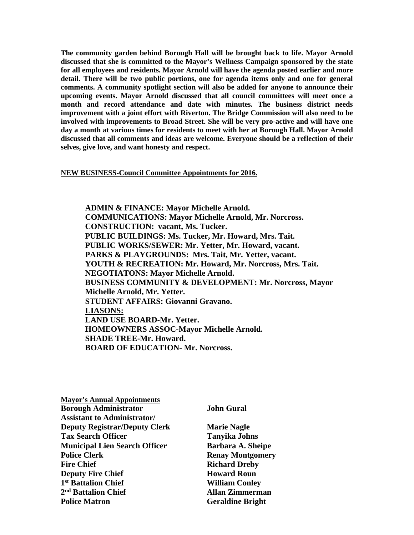**The community garden behind Borough Hall will be brought back to life. Mayor Arnold discussed that she is committed to the Mayor's Wellness Campaign sponsored by the state for all employees and residents. Mayor Arnold will have the agenda posted earlier and more detail. There will be two public portions, one for agenda items only and one for general comments. A community spotlight section will also be added for anyone to announce their upcoming events. Mayor Arnold discussed that all council committees will meet once a month and record attendance and date with minutes. The business district needs improvement with a joint effort with Riverton. The Bridge Commission will also need to be involved with improvements to Broad Street. She will be very pro-active and will have one day a month at various times for residents to meet with her at Borough Hall. Mayor Arnold discussed that all comments and ideas are welcome. Everyone should be a reflection of their selves, give love, and want honesty and respect.** 

# **NEW BUSINESS-Council Committee Appointments for 2016.**

**ADMIN & FINANCE: Mayor Michelle Arnold. COMMUNICATIONS: Mayor Michelle Arnold, Mr. Norcross. CONSTRUCTION: vacant, Ms. Tucker. PUBLIC BUILDINGS: Ms. Tucker, Mr. Howard, Mrs. Tait. PUBLIC WORKS/SEWER: Mr. Yetter, Mr. Howard, vacant. PARKS & PLAYGROUNDS: Mrs. Tait, Mr. Yetter, vacant. YOUTH & RECREATION: Mr. Howard, Mr. Norcross, Mrs. Tait. NEGOTIATONS: Mayor Michelle Arnold. BUSINESS COMMUNITY & DEVELOPMENT: Mr. Norcross, Mayor Michelle Arnold, Mr. Yetter. STUDENT AFFAIRS: Giovanni Gravano. LIASONS: LAND USE BOARD-Mr. Yetter. HOMEOWNERS ASSOC-Mayor Michelle Arnold. SHADE TREE-Mr. Howard. BOARD OF EDUCATION- Mr. Norcross.** 

| <b>Mayor's Annual Appointments</b>   |     |
|--------------------------------------|-----|
| <b>Borough Administrator</b>         | Jol |
| <b>Assistant to Administrator/</b>   |     |
| <b>Deputy Registrar/Deputy Clerk</b> | Mε  |
| <b>Tax Search Officer</b>            | Ta  |
| <b>Municipal Lien Search Officer</b> | Ba  |
| <b>Police Clerk</b>                  | Re  |
| <b>Fire Chief</b>                    | Rio |
| <b>Deputy Fire Chief</b>             | Ho  |
| 1 <sup>st</sup> Battalion Chief      | Wi  |
| 2 <sup>nd</sup> Battalion Chief      | All |
| <b>Police Matron</b>                 | Ge  |

# **bo** Gural

**Depute Nagle Tax Search Officer Tanyika Johns**  rbara A. Sheipe **Policial Montgomery First Chard Dreby** *<u>Ward Roun</u>* **illiam Conley** l**an Zimmerman Praldine Bright**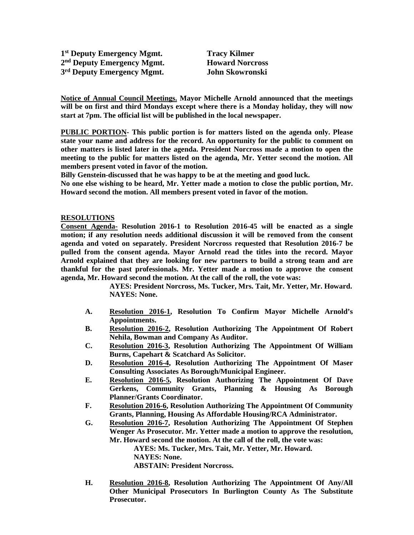**1 st Deputy Emergency Mgmt. Tracy Kilmer 2 nd Deputy Emergency Mgmt. Howard Norcross 3 rd Deputy Emergency Mgmt. John Skowronski** 

**Notice of Annual Council Meetings. Mayor Michelle Arnold announced that the meetings will be on first and third Mondays except where there is a Monday holiday, they will now start at 7pm. The official list will be published in the local newspaper.** 

**PUBLIC PORTION- This public portion is for matters listed on the agenda only. Please state your name and address for the record. An opportunity for the public to comment on other matters is listed later in the agenda. President Norcross made a motion to open the meeting to the public for matters listed on the agenda, Mr. Yetter second the motion. All members present voted in favor of the motion.** 

**Billy Genstein-discussed that he was happy to be at the meeting and good luck.** 

**No one else wishing to be heard, Mr. Yetter made a motion to close the public portion, Mr. Howard second the motion. All members present voted in favor of the motion.** 

# **RESOLUTIONS**

**Consent Agenda- Resolution 2016-1 to Resolution 2016-45 will be enacted as a single motion; if any resolution needs additional discussion it will be removed from the consent agenda and voted on separately. President Norcross requested that Resolution 2016-7 be pulled from the consent agenda. Mayor Arnold read the titles into the record. Mayor Arnold explained that they are looking for new partners to build a strong team and are thankful for the past professionals. Mr. Yetter made a motion to approve the consent agenda, Mr. Howard second the motion. At the call of the roll, the vote was:** 

> **AYES: President Norcross, Ms. Tucker, Mrs. Tait, Mr. Yetter, Mr. Howard. NAYES: None.**

- **A. Resolution 2016-1, Resolution To Confirm Mayor Michelle Arnold's Appointments.**
- **B. Resolution 2016-2, Resolution Authorizing The Appointment Of Robert Nehila, Bowman and Company As Auditor.**
- **C. Resolution 2016-3, Resolution Authorizing The Appointment Of William Burns, Capehart & Scatchard As Solicitor.**
- **D. Resolution 2016-4, Resolution Authorizing The Appointment Of Maser Consulting Associates As Borough/Municipal Engineer.**
- **E. Resolution 2016-5, Resolution Authorizing The Appointment Of Dave Gerkens, Community Grants, Planning & Housing As Borough Planner/Grants Coordinator.**
- **F. Resolution 2016-6, Resolution Authorizing The Appointment Of Community Grants, Planning, Housing As Affordable Housing/RCA Administrator.**
- **G. Resolution 2016-7, Resolution Authorizing The Appointment Of Stephen Wenger As Prosecutor. Mr. Yetter made a motion to approve the resolution, Mr. Howard second the motion. At the call of the roll, the vote was:**

**AYES: Ms. Tucker, Mrs. Tait, Mr. Yetter, Mr. Howard.** 

 **NAYES: None.** 

 **ABSTAIN: President Norcross.** 

**H. Resolution 2016-8, Resolution Authorizing The Appointment Of Any/All Other Municipal Prosecutors In Burlington County As The Substitute Prosecutor.**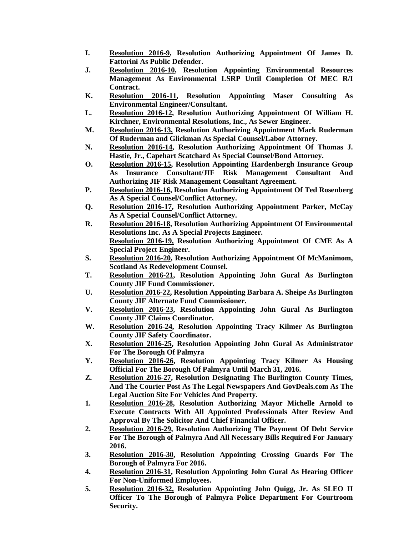- **I. Resolution 2016-9, Resolution Authorizing Appointment Of James D. Fattorini As Public Defender.**
- **J. Resolution 2016-10, Resolution Appointing Environmental Resources Management As Environmental LSRP Until Completion Of MEC R/I Contract.**
- **K. Resolution 2016-11, Resolution Appointing Maser Consulting As Environmental Engineer/Consultant.**
- **L. Resolution 2016-12, Resolution Authorizing Appointment Of William H. Kirchner, Environmental Resolutions, Inc., As Sewer Engineer.**
- **M. Resolution 2016-13, Resolution Authorizing Appointment Mark Ruderman Of Ruderman and Glickman As Special Counsel/Labor Attorney.**
- **N. Resolution 2016-14, Resolution Authorizing Appointment Of Thomas J. Hastie, Jr., Capehart Scatchard As Special Counsel/Bond Attorney.**
- **O. Resolution 2016-15, Resolution Appointing Hardenbergh Insurance Group As Insurance Consultant/JIF Risk Management Consultant And Authorizing JIF Risk Management Consultant Agreement.**
- **P. Resolution 2016-16, Resolution Authorizing Appointment Of Ted Rosenberg As A Special Counsel/Conflict Attorney.**
- **Q. Resolution 2016-17, Resolution Authorizing Appointment Parker, McCay As A Special Counsel/Conflict Attorney.**
- **R. Resolution 2016-18, Resolution Authorizing Appointment Of Environmental Resolutions Inc. As A Special Projects Engineer. Resolution 2016-19, Resolution Authorizing Appointment Of CME As A Special Project Engineer.**
- **S. Resolution 2016-20, Resolution Authorizing Appointment Of McManimom, Scotland As Redevelopment Counsel.**
- **T. Resolution 2016-21, Resolution Appointing John Gural As Burlington County JIF Fund Commissioner.**
- **U. Resolution 2016-22, Resolution Appointing Barbara A. Sheipe As Burlington County JIF Alternate Fund Commissioner.**
- **V. Resolution 2016-23, Resolution Appointing John Gural As Burlington County JIF Claims Coordinator.**
- **W. Resolution 2016-24, Resolution Appointing Tracy Kilmer As Burlington County JIF Safety Coordinator.**
- **X. Resolution 2016-25, Resolution Appointing John Gural As Administrator For The Borough Of Palmyra**
- **Y. Resolution 2016-26, Resolution Appointing Tracy Kilmer As Housing Official For The Borough Of Palmyra Until March 31, 2016.**
- **Z. Resolution 2016-27, Resolution Designating The Burlington County Times, And The Courier Post As The Legal Newspapers And GovDeals.com As The Legal Auction Site For Vehicles And Property.**
- **1. Resolution 2016-28, Resolution Authorizing Mayor Michelle Arnold to Execute Contracts With All Appointed Professionals After Review And Approval By The Solicitor And Chief Financial Officer.**
- **2. Resolution 2016-29, Resolution Authorizing The Payment Of Debt Service For The Borough of Palmyra And All Necessary Bills Required For January 2016.**
- **3. Resolution 2016-30, Resolution Appointing Crossing Guards For The Borough of Palmyra For 2016.**
- **4. Resolution 2016-31, Resolution Appointing John Gural As Hearing Officer For Non-Uniformed Employees.**
- **5. Resolution 2016-32, Resolution Appointing John Quigg, Jr. As SLEO II Officer To The Borough of Palmyra Police Department For Courtroom Security.**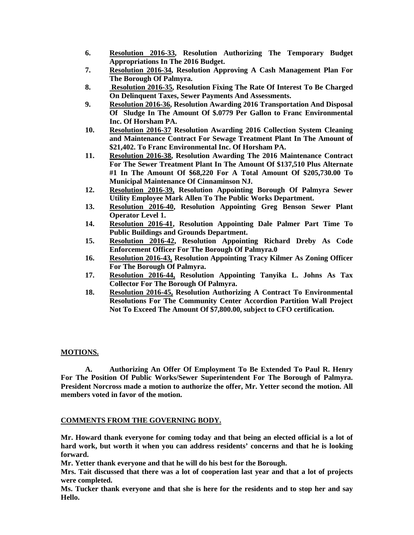- **6. Resolution 2016-33, Resolution Authorizing The Temporary Budget Appropriations In The 2016 Budget.**
- **7. Resolution 2016-34, Resolution Approving A Cash Management Plan For The Borough Of Palmyra.**
- **8. Resolution 2016-35, Resolution Fixing The Rate Of Interest To Be Charged On Delinquent Taxes, Sewer Payments And Assessments.**
- **9. Resolution 2016-36, Resolution Awarding 2016 Transportation And Disposal Of Sludge In The Amount Of \$.0779 Per Gallon to Franc Environmental Inc. Of Horsham PA.**
- **10. Resolution 2016-37 Resolution Awarding 2016 Collection System Cleaning and Maintenance Contract For Sewage Treatment Plant In The Amount of \$21,402. To Franc Environmental Inc. Of Horsham PA.**
- **11. Resolution 2016-38, Resolution Awarding The 2016 Maintenance Contract For The Sewer Treatment Plant In The Amount Of \$137,510 Plus Alternate #1 In The Amount Of \$68,220 For A Total Amount Of \$205,730.00 To Municipal Maintenance Of Cinnaminson NJ.**
- **12. Resolution 2016-39, Resolution Appointing Borough Of Palmyra Sewer Utility Employee Mark Allen To The Public Works Department.**
- **13. Resolution 2016-40, Resolution Appointing Greg Benson Sewer Plant Operator Level 1.**
- **14. Resolution 2016-41, Resolution Appointing Dale Palmer Part Time To Public Buildings and Grounds Department.**
- **15. Resolution 2016-42, Resolution Appointing Richard Dreby As Code Enforcement Officer For The Borough Of Palmyra.0**
- **16. Resolution 2016-43, Resolution Appointing Tracy Kilmer As Zoning Officer For The Borough Of Palmyra.**
- **17. Resolution 2016-44, Resolution Appointing Tanyika L. Johns As Tax Collector For The Borough Of Palmyra.**
- **18. Resolution 2016-45, Resolution Authorizing A Contract To Environmental Resolutions For The Community Center Accordion Partition Wall Project Not To Exceed The Amount Of \$7,800.00, subject to CFO certification.**

# **MOTIONS.**

**A. Authorizing An Offer Of Employment To Be Extended To Paul R. Henry For The Position Of Public Works/Sewer Superintendent For The Borough of Palmyra. President Norcross made a motion to authorize the offer, Mr. Yetter second the motion. All members voted in favor of the motion.** 

# **COMMENTS FROM THE GOVERNING BODY.**

**Mr. Howard thank everyone for coming today and that being an elected official is a lot of hard work, but worth it when you can address residents' concerns and that he is looking forward.** 

**Mr. Yetter thank everyone and that he will do his best for the Borough.** 

**Mrs. Tait discussed that there was a lot of cooperation last year and that a lot of projects were completed.** 

**Ms. Tucker thank everyone and that she is here for the residents and to stop her and say Hello.**